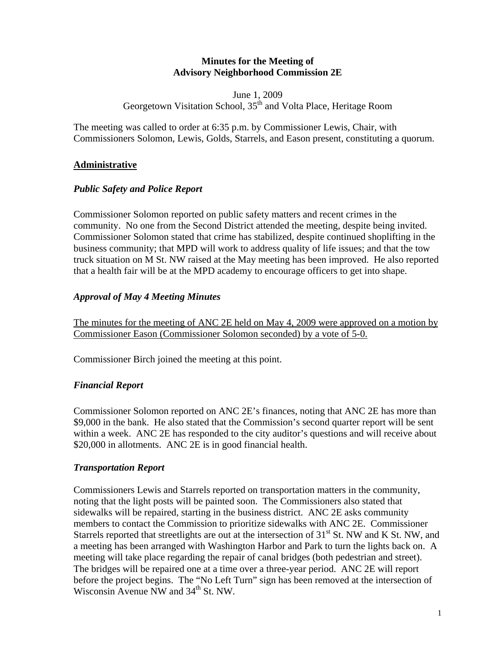#### **Minutes for the Meeting of Advisory Neighborhood Commission 2E**

June 1, 2009 Georgetown Visitation School, 35<sup>th</sup> and Volta Place, Heritage Room

The meeting was called to order at 6:35 p.m. by Commissioner Lewis, Chair, with Commissioners Solomon, Lewis, Golds, Starrels, and Eason present, constituting a quorum.

### **Administrative**

#### *Public Safety and Police Report*

Commissioner Solomon reported on public safety matters and recent crimes in the community. No one from the Second District attended the meeting, despite being invited. Commissioner Solomon stated that crime has stabilized, despite continued shoplifting in the business community; that MPD will work to address quality of life issues; and that the tow truck situation on M St. NW raised at the May meeting has been improved. He also reported that a health fair will be at the MPD academy to encourage officers to get into shape.

## *Approval of May 4 Meeting Minutes*

The minutes for the meeting of ANC 2E held on May 4, 2009 were approved on a motion by Commissioner Eason (Commissioner Solomon seconded) by a vote of 5-0.

Commissioner Birch joined the meeting at this point.

#### *Financial Report*

Commissioner Solomon reported on ANC 2E's finances, noting that ANC 2E has more than \$9,000 in the bank. He also stated that the Commission's second quarter report will be sent within a week. ANC 2E has responded to the city auditor's questions and will receive about \$20,000 in allotments. ANC 2E is in good financial health.

#### *Transportation Report*

Commissioners Lewis and Starrels reported on transportation matters in the community, noting that the light posts will be painted soon. The Commissioners also stated that sidewalks will be repaired, starting in the business district. ANC 2E asks community members to contact the Commission to prioritize sidewalks with ANC 2E. Commissioner Starrels reported that streetlights are out at the intersection of  $31<sup>st</sup>$  St. NW and K St. NW, and a meeting has been arranged with Washington Harbor and Park to turn the lights back on. A meeting will take place regarding the repair of canal bridges (both pedestrian and street). The bridges will be repaired one at a time over a three-year period. ANC 2E will report before the project begins. The "No Left Turn" sign has been removed at the intersection of Wisconsin Avenue NW and  $34<sup>th</sup>$  St. NW.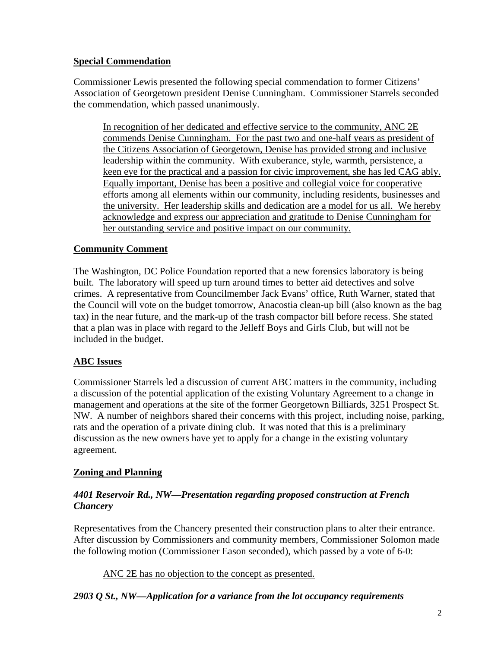## **Special Commendation**

Commissioner Lewis presented the following special commendation to former Citizens' Association of Georgetown president Denise Cunningham. Commissioner Starrels seconded the commendation, which passed unanimously.

In recognition of her dedicated and effective service to the community, ANC 2E commends Denise Cunningham. For the past two and one-half years as president of the Citizens Association of Georgetown, Denise has provided strong and inclusive leadership within the community. With exuberance, style, warmth, persistence, a keen eye for the practical and a passion for civic improvement, she has led CAG ably. Equally important, Denise has been a positive and collegial voice for cooperative efforts among all elements within our community, including residents, businesses and the university. Her leadership skills and dedication are a model for us all. We hereby acknowledge and express our appreciation and gratitude to Denise Cunningham for her outstanding service and positive impact on our community.

## **Community Comment**

The Washington, DC Police Foundation reported that a new forensics laboratory is being built. The laboratory will speed up turn around times to better aid detectives and solve crimes. A representative from Councilmember Jack Evans' office, Ruth Warner, stated that the Council will vote on the budget tomorrow, Anacostia clean-up bill (also known as the bag tax) in the near future, and the mark-up of the trash compactor bill before recess. She stated that a plan was in place with regard to the Jelleff Boys and Girls Club, but will not be included in the budget.

# **ABC Issues**

Commissioner Starrels led a discussion of current ABC matters in the community, including a discussion of the potential application of the existing Voluntary Agreement to a change in management and operations at the site of the former Georgetown Billiards, 3251 Prospect St. NW. A number of neighbors shared their concerns with this project, including noise, parking, rats and the operation of a private dining club. It was noted that this is a preliminary discussion as the new owners have yet to apply for a change in the existing voluntary agreement.

#### **Zoning and Planning**

#### *4401 Reservoir Rd., NW—Presentation regarding proposed construction at French Chancery*

Representatives from the Chancery presented their construction plans to alter their entrance. After discussion by Commissioners and community members, Commissioner Solomon made the following motion (Commissioner Eason seconded), which passed by a vote of 6-0:

ANC 2E has no objection to the concept as presented.

# *2903 Q St., NW—Application for a variance from the lot occupancy requirements*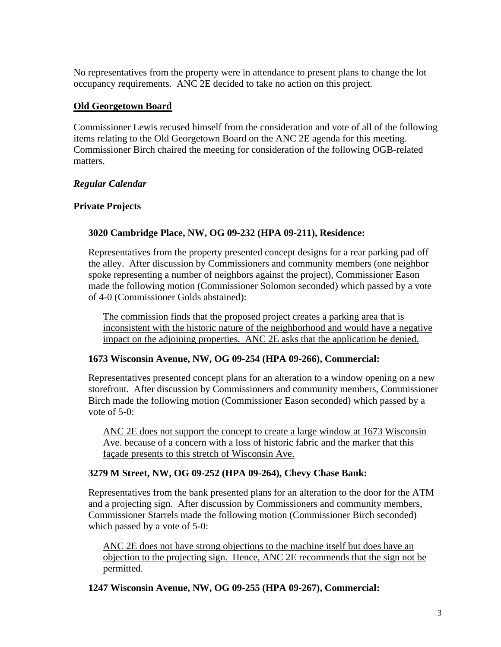No representatives from the property were in attendance to present plans to change the lot occupancy requirements. ANC 2E decided to take no action on this project.

### **Old Georgetown Board**

Commissioner Lewis recused himself from the consideration and vote of all of the following items relating to the Old Georgetown Board on the ANC 2E agenda for this meeting. Commissioner Birch chaired the meeting for consideration of the following OGB-related matters.

## *Regular Calendar*

## **Private Projects**

#### **3020 Cambridge Place, NW, OG 09-232 (HPA 09-211), Residence:**

Representatives from the property presented concept designs for a rear parking pad off the alley. After discussion by Commissioners and community members (one neighbor spoke representing a number of neighbors against the project), Commissioner Eason made the following motion (Commissioner Solomon seconded) which passed by a vote of 4-0 (Commissioner Golds abstained):

The commission finds that the proposed project creates a parking area that is inconsistent with the historic nature of the neighborhood and would have a negative impact on the adjoining properties. ANC 2E asks that the application be denied.

#### **1673 Wisconsin Avenue, NW, OG 09-254 (HPA 09-266), Commercial:**

Representatives presented concept plans for an alteration to a window opening on a new storefront. After discussion by Commissioners and community members, Commissioner Birch made the following motion (Commissioner Eason seconded) which passed by a vote of  $5-0$ :

ANC 2E does not support the concept to create a large window at 1673 Wisconsin Ave. because of a concern with a loss of historic fabric and the marker that this façade presents to this stretch of Wisconsin Ave.

#### **3279 M Street, NW, OG 09-252 (HPA 09-264), Chevy Chase Bank:**

Representatives from the bank presented plans for an alteration to the door for the ATM and a projecting sign. After discussion by Commissioners and community members, Commissioner Starrels made the following motion (Commissioner Birch seconded) which passed by a vote of 5-0:

ANC 2E does not have strong objections to the machine itself but does have an objection to the projecting sign. Hence, ANC 2E recommends that the sign not be permitted.

**1247 Wisconsin Avenue, NW, OG 09-255 (HPA 09-267), Commercial:**